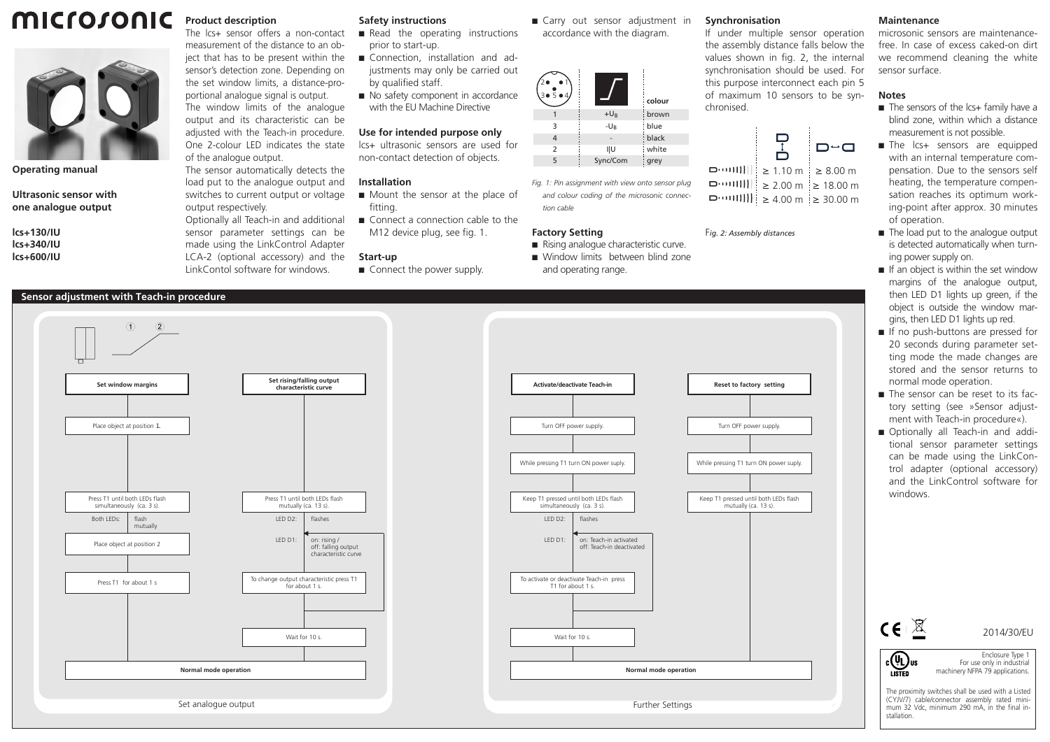## microsonic **Product description**



**Operating manual**

**Ultrasonic sensor with one analogue output**

**lcs+130/IU lcs+340/IU lcs+600/IU**

One 2-colour LED indicates the state of the analogue output. The sensor automatically detects the load put to the analogue output and switches to current output or voltage output respectively. Optionally all Teach-in and additional sensor parameter settings can be made using the LinkControl Adapter LCA-2 (optional accessory) and the LinkContol software for windows.

The lcs+ sensor offers a non-contact measurement of the distance to an object that has to be present within the sensor's detection zone. Depending on the set window limits, a distance-proportional analogue signal is output. The window limits of the analogue output and its characteristic can be adjusted with the Teach-in procedure.

### **Safety instructions**

- $\blacksquare$  Read the operating instructions prior to start-up.
- Connection, installation and adjustments may only be carried out by qualified staff.
- $\blacksquare$  No safety component in accordance with the EU Machine Directive

### **Use for intended purpose only**

lcs+ ultrasonic sensors are used for non-contact detection of objects.

#### **Installation**

- $\blacksquare$  Mount the sensor at the place of fitting.
- M12 device plug, see fig. 1.

#### **Start-up**

■ Carry out sensor adjustment in accordance with the diagram.

| 30504          |          | colour |
|----------------|----------|--------|
|                | $+U_{B}$ | brown  |
| 3              | $-U_{B}$ | blue   |
| 4              |          | black  |
| $\overline{2}$ | ı υ      | white  |
| 5              | Sync/Com | grey   |
|                |          |        |

*Fig. 1: Pin assignment with view onto sensor plug and colour coding of the microsonic connection cable*

#### **Factory Setting**

- $\blacksquare$  Rising analogue characteristic curve.
- Window limits between blind zone and operating range.

### **Synchronisation**

If under multiple sensor operation the assembly distance falls below the values shown in fig. 2, the internal synchronisation should be used. For this purpose interconnect each pin 5 of maximum 10 sensors to be synchronised.



 $\Box$  1.10 m ≥ 8.00 m ≥ 2.00 m ≥ 18.00 m ≥ 4.00 m ≥ 30.00 m

F*ig. 2: Assembly distances*

sensor surface. **Notes**  $\blacksquare$  The sensors of the lcs+ family have a

**Maintenance**

blind zone, within which a distance measurement is not possible.

microsonic sensors are maintenancefree. In case of excess caked-on dirt we recommend cleaning the white

- The lcs+ sensors are equipped with an internal temperature compensation. Due to the sensors self heating, the temperature compensation reaches its optimum working-point after approx. 30 minutes of operation.
- The load put to the analogue output is detected automatically when turning power supply on.
- $\blacksquare$  If an object is within the set window margins of the analogue output, then LED D1 lights up green, if the object is outside the window margins, then LED D1 lights up red.
- $\blacksquare$  If no push-buttons are pressed for 20 seconds during parameter setting mode the made changes are stored and the sensor returns to normal mode operation.
- The sensor can be reset to its factory setting (see »Sensor adjustment with Teach-in procedure«).
- Optionally all Teach-in and additional sensor parameter settings can be made using the LinkControl adapter (optional accessory) and the LinkControl software for windows.

| $\epsilon$   | 2014/30/EU                                                                                                                                          |
|--------------|-----------------------------------------------------------------------------------------------------------------------------------------------------|
| US<br>LISTED | Enclosure Type 1<br>For use only in industrial<br>machinery NFPA 79 applications.                                                                   |
| stallation.  | The proximity switches shall be used with a Listed<br>(CYJV/7) cable/connector assembly rated mini-<br>mum 32 Vdc, minimum 290 mA, in the final in- |

# **Sensor adjustment with Teach-in procedure**





- $\blacksquare$  Connect a connection cable to the
- 

■ Connect the power supply.